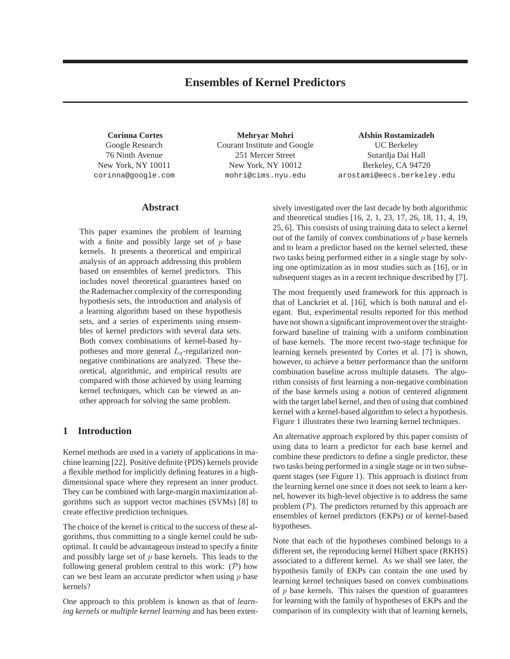# **Ensembles of Kernel Predictors**

**Corinna Cortes** Google Research 76 Ninth Avenue New York, NY 10011 corinna@google.com

**Mehryar Mohri** Courant Institute and Google 251 Mercer Street New York, NY 10012 mohri@cims.nyu.edu

**Afshin Rostamizadeh** UC Berkeley Sutardja Dai Hall Berkeley, CA 94720 arostami@eecs.berkeley.edu

# **Abstract**

This paper examines the problem of learning with a finite and possibly large set of  $p$  base kernels. It presents a theoretical and empirical analysis of an approach addressing this problem based on ensembles of kernel predictors. This includes novel theoretical guarantees based on the Rademacher complexity of the corresponding hypothesis sets, the introduction and analysis of a learning algorithm based on these hypothesis sets, and a series of experiments using ensembles of kernel predictors with several data sets. Both convex combinations of kernel-based hypotheses and more general  $L_q$ -regularized nonnegative combinations are analyzed. These theoretical, algorithmic, and empirical results are compared with those achieved by using learning kernel techniques, which can be viewed as another approach for solving the same problem.

# **1 Introduction**

Kernel methods are used in a variety of applications in machine learning [22]. Positive definite (PDS) kernels provide a flexible method for implicitly defining features in a highdimensional space where they represent an inner product. They can be combined with large-margin maximization algorithms such as support vector machines (SVMs) [8] to create effective prediction techniques.

The choice of the kernel is critical to the success of these algorithms, thus committing to a single kernel could be suboptimal. It could be advantageous instead to specify a finite and possibly large set of  $p$  base kernels. This leads to the following general problem central to this work:  $(\mathcal{P})$  how can we best learn an accurate predictor when using  $p$  base kernels?

One approach to this problem is known as that of *learning kernels* or *multiple kernel learning* and has been extensively investigated over the last decade by both algorithmic and theoretical studies [16, 2, 1, 23, 17, 26, 18, 11, 4, 19, 25, 6]. This consists of using training data to select a kernel out of the family of convex combinations of  $p$  base kernels and to learn a predictor based on the kernel selected, these two tasks being performed either in a single stage by solving one optimization as in most studies such as [16], or in subsequent stages as in a recent technique described by [7].

The most frequently used framework for this approach is that of Lanckriet et al. [16], which is both natural and elegant. But, experimental results reported for this method have not shown a significant improvement over the straightforward baseline of training with a uniform combination of base kernels. The more recent two-stage technique for learning kernels presented by Cortes et al. [7] is shown, however, to achieve a better performance than the uniform combination baseline across multiple datasets. The algorithm consists of first learning a non-negative combination of the base kernels using a notion of centered alignment with the target label kernel, and then of using that combined kernel with a kernel-based algorithm to select a hypothesis. Figure 1 illustrates these two learning kernel techniques.

An alternative approach explored by this paper consists of using data to learn a predictor for each base kernel and combine these predictors to define a single predictor, these two tasks being performed in a single stage or in two subsequent stages (see Figure 1). This approach is distinct from the learning kernel one since it does not seek to learn a kernel, however its high-level objective is to address the same problem  $(\mathcal{P})$ . The predictors returned by this approach are ensembles of kernel predictors (EKPs) or of kernel-based hypotheses.

Note that each of the hypotheses combined belongs to a different set, the reproducing kernel Hilbert space (RKHS) associated to a different kernel. As we shall see later, the hypothesis family of EKPs can contain the one used by learning kernel techniques based on convex combinations of  $p$  base kernels. This raises the question of guarantees for learning with the family of hypotheses of EKPs and the comparison of its complexity with that of learning kernels,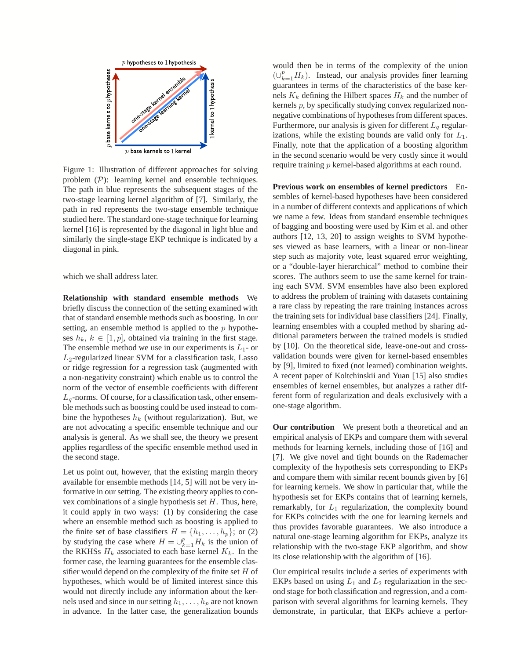

Figure 1: Illustration of different approaches for solving problem  $(\mathcal{P})$ : learning kernel and ensemble techniques. The path in blue represents the subsequent stages of the two-stage learning kernel algorithm of [7]. Similarly, the path in red represents the two-stage ensemble technique studied here. The standard one-stage technique for learning kernel [16] is represented by the diagonal in light blue and similarly the single-stage EKP technique is indicated by a diagonal in pink.

which we shall address later.

**Relationship with standard ensemble methods** We briefly discuss the connection of the setting examined with that of standard ensemble methods such as boosting. In our setting, an ensemble method is applied to the  $p$  hypotheses  $h_k$ ,  $k \in [1, p]$ , obtained via training in the first stage. The ensemble method we use in our experiments is  $L_1$ - or  $L_2$ -regularized linear SVM for a classification task, Lasso or ridge regression for a regression task (augmented with a non-negativity constraint) which enable us to control the norm of the vector of ensemble coefficients with different  $L_q$ -norms. Of course, for a classification task, other ensemble methods such as boosting could be used instead to combine the hypotheses  $h_k$  (without regularization). But, we are not advocating a specific ensemble technique and our analysis is general. As we shall see, the theory we present applies regardless of the specific ensemble method used in the second stage.

Let us point out, however, that the existing margin theory available for ensemble methods [14, 5] will not be very informative in our setting. The existing theory applies to convex combinations of a single hypothesis set  $H$ . Thus, here, it could apply in two ways: (1) by considering the case where an ensemble method such as boosting is applied to the finite set of base classifiers  $H = \{h_1, \ldots, h_p\}$ ; or (2) by studying the case where  $H = \bigcup_{k=1}^{p} H_k$  is the union of the RKHSs  $H_k$  associated to each base kernel  $K_k$ . In the former case, the learning guarantees for the ensemble classifier would depend on the complexity of the finite set  $H$  of hypotheses, which would be of limited interest since this would not directly include any information about the kernels used and since in our setting  $h_1, \ldots, h_p$  are not known in advance. In the latter case, the generalization bounds would then be in terms of the complexity of the union  $(\cup_{k=1}^p H_k)$ . Instead, our analysis provides finer learning guarantees in terms of the characteristics of the base kernels  $K_k$  defining the Hilbert spaces  $H_k$  and the number of kernels p, by specifically studying convex regularized nonnegative combinations of hypotheses from different spaces. Furthermore, our analysis is given for different  $L_q$  regularizations, while the existing bounds are valid only for  $L_1$ . Finally, note that the application of a boosting algorithm in the second scenario would be very costly since it would require training p kernel-based algorithms at each round.

**Previous work on ensembles of kernel predictors** Ensembles of kernel-based hypotheses have been considered in a number of different contexts and applications of which we name a few. Ideas from standard ensemble techniques of bagging and boosting were used by Kim et al. and other authors [12, 13, 20] to assign weights to SVM hypotheses viewed as base learners, with a linear or non-linear step such as majority vote, least squared error weighting, or a "double-layer hierarchical" method to combine their scores. The authors seem to use the same kernel for training each SVM. SVM ensembles have also been explored to address the problem of training with datasets containing a rare class by repeating the rare training instances across the training sets for individual base classifiers [24]. Finally, learning ensembles with a coupled method by sharing additional parameters between the trained models is studied by [10]. On the theoretical side, leave-one-out and crossvalidation bounds were given for kernel-based ensembles by [9], limited to fixed (not learned) combination weights. A recent paper of Koltchinskii and Yuan [15] also studies ensembles of kernel ensembles, but analyzes a rather different form of regularization and deals exclusively with a one-stage algorithm.

**Our contribution** We present both a theoretical and an empirical analysis of EKPs and compare them with several methods for learning kernels, including those of [16] and [7]. We give novel and tight bounds on the Rademacher complexity of the hypothesis sets corresponding to EKPs and compare them with similar recent bounds given by [6] for learning kernels. We show in particular that, while the hypothesis set for EKPs contains that of learning kernels, remarkably, for  $L_1$  regularization, the complexity bound for EKPs coincides with the one for learning kernels and thus provides favorable guarantees. We also introduce a natural one-stage learning algorithm for EKPs, analyze its relationship with the two-stage EKP algorithm, and show its close relationship with the algorithm of [16].

Our empirical results include a series of experiments with EKPs based on using  $L_1$  and  $L_2$  regularization in the second stage for both classification and regression, and a comparison with several algorithms for learning kernels. They demonstrate, in particular, that EKPs achieve a perfor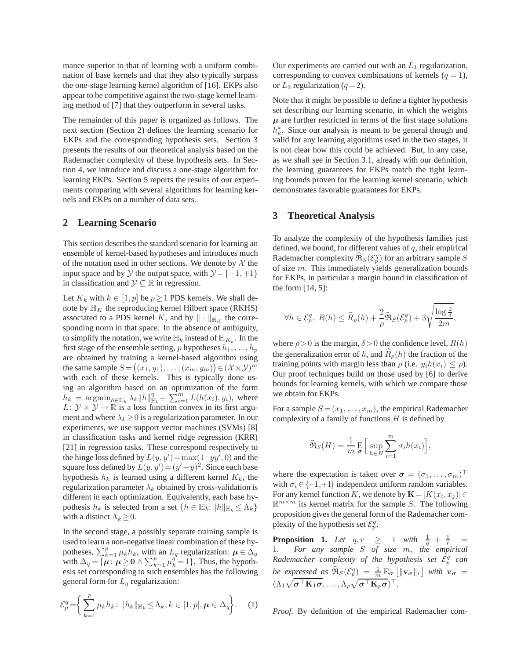mance superior to that of learning with a uniform combination of base kernels and that they also typically surpass the one-stage learning kernel algorithm of [16]. EKPs also appear to be competitive against the two-stage kernel learning method of [7] that they outperform in several tasks.

The remainder of this paper is organized as follows. The next section (Section 2) defines the learning scenario for EKPs and the corresponding hypothesis sets. Section 3 presents the results of our theoretical analysis based on the Rademacher complexity of these hypothesis sets. In Section 4, we introduce and discuss a one-stage algorithm for learning EKPs. Section 5 reports the results of our experiments comparing with several algorithms for learning kernels and EKPs on a number of data sets.

### **2 Learning Scenario**

This section describes the standard scenario for learning an ensemble of kernel-based hypotheses and introduces much of the notation used in other sections. We denote by  $X$  the input space and by  $\mathcal Y$  the output space, with  $\mathcal Y = \{-1, +1\}$ in classification and  $\mathcal{Y} \subseteq \mathbb{R}$  in regression.

Let  $K_k$  with  $k \in [1, p]$  be  $p \ge 1$  PDS kernels. We shall denote by  $\mathbb{H}_K$  the reproducing kernel Hilbert space (RKHS) associated to a PDS kernel K, and by  $\|\cdot\|_{\mathbb{H}_K}$  the corresponding norm in that space. In the absence of ambiguity, to simplify the notation, we write  $\mathbb{H}_k$  instead of  $\mathbb{H}_{K_k}$ . In the first stage of the ensemble setting, p hypotheses  $h_1, \ldots, h_p$ are obtained by training a kernel-based algorithm using the same sample  $S = ((x_1, y_1), \dots, (x_m, y_m)) \in (\mathcal{X} \times \mathcal{Y})^m$ with each of these kernels. This is typically done using an algorithm based on an optimization of the form  $h_k = \operatorname{argmin}_{h \in \mathbb{H}_k} \lambda_k ||h||_{\mathbb{H}_k}^2 + \sum_{i=1}^m L(h(x_i), y_i)$ , where  $L: \mathcal{Y} \times \mathcal{Y} \rightarrow \mathbb{R}$  is a loss function convex in its first argument and where  $\lambda_k \geq 0$  is a regularization parameter. In our experiments, we use support vector machines (SVMs) [8] in classification tasks and kernel ridge regression (KRR) [21] in regression tasks. These correspond respectively to the hinge loss defined by  $L(y, y') = \max(1 - yy', 0)$  and the square loss defined by  $L(y, y') = (y' - y)^2$ . Since each base hypothesis  $h_k$  is learned using a different kernel  $K_k$ , the regularization parameter  $\lambda_k$  obtained by cross-validation is different in each optimization. Equivalently, each base hypothesis  $h_k$  is selected from a set  $\{h \in \mathbb{H}_k : ||h||_{\mathbb{H}_k} \leq \Lambda_k\}$ with a distinct  $\Lambda_k \geq 0$ .

In the second stage, a possibly separate training sample is used to learn a non-negative linear combination of these hypotheses,  $\sum_{k=1}^{p} \mu_k h_k$ , with an  $L_q$  regularization:  $\mu \in \Delta_q$ with  $\Delta_q = {\mu : \mu \ge 0} \wedge \sum_{k=1}^p \mu_k^q = 1$ . Thus, the hypothesis set corresponding to such ensembles has the following general form for  $L_q$  regularization:

$$
\mathcal{E}_p^q = \left\{ \sum_{k=1}^p \mu_k h_k \colon \|h_k\|_{\mathbb{H}_k} \le \Lambda_k, k \in [1, p], \mu \in \Delta_q \right\}.
$$
 (1)

Our experiments are carried out with an  $L_1$  regularization, corresponding to convex combinations of kernels  $(q = 1)$ , or  $L_2$  regularization ( $q=2$ ).

Note that it might be possible to define a tighter hypothesis set describing our learning scenario, in which the weights  $\mu$  are further restricted in terms of the first stage solutions  $h_k^*$ . Since our analysis is meant to be general though and valid for any learning algorithms used in the two stages, it is not clear how this could be achieved. But, in any case, as we shall see in Section 3.1, already with our definition, the learning guarantees for EKPs match the tight learning bounds proven for the learning kernel scenario, which demonstrates favorable guarantees for EKPs.

### **3 Theoretical Analysis**

To analyze the complexity of the hypothesis families just defined, we bound, for different values of  $q$ , their empirical Rademacher complexity  $\widehat{\mathfrak{R}}_{S}(\mathcal{E}_{p}^{q})$  for an arbitrary sample  $S$ of size  $m$ . This immediately yields generalization bounds for EKPs, in particular a margin bound in classification of the form [14, 5]:

$$
\forall h \in \mathcal{E}_p^q, \ R(h) \leq \widehat{R}_\rho(h) + \frac{2}{\rho} \widehat{\Re}_S(\mathcal{E}_p^q) + 3 \sqrt{\frac{\log \frac{2}{\delta}}{2m}},
$$

where  $\rho > 0$  is the margin,  $\delta > 0$  the confidence level,  $R(h)$ the generalization error of h, and  $R_\rho(h)$  the fraction of the training points with margin less than  $\rho$  (i.e.  $y_i h(x_i) \leq \rho$ ). Our proof techniques build on those used by [6] to derive bounds for learning kernels, with which we compare those we obtain for EKPs.

For a sample  $S = (x_1, \ldots, x_m)$ , the empirical Rademacher complexity of a family of functions  $H$  is defined by

$$
\widehat{\mathfrak{R}}_S(H) = \frac{1}{m} \mathop{\mathrm{E}}_{\sigma} \Big[ \sup_{h \in H} \sum_{i=1}^m \sigma_i h(x_i) \Big],
$$

where the expectation is taken over  $\boldsymbol{\sigma} = (\sigma_1, \dots, \sigma_m)^\top$ with  $\sigma_i \in \{-1,+1\}$  independent uniform random variables. For any kernel function K, we denote by  $\mathbf{K} = [K(x_i, x_j)] \in$  $\mathbb{R}^{m \times m}$  its kernel matrix for the sample S. The following proposition gives the general form of the Rademacher complexity of the hypothesis set  $\mathcal{E}_p^q$ .

**Proposition 1.** Let  $q, r \geq 1$  with  $\frac{1}{q} + \frac{1}{r} =$ 1*. For any sample* S *of size* m*, the empirical* Rademacher complexity of the hypothesis set  $\mathcal{E}_p^q$  can *be expressed as*  $\widehat{\mathfrak{R}}_S(\mathcal{E}_p^q) = \frac{1}{m} \mathbb{E}_{\sigma} [\|\mathbf{v}_{\sigma}\|_r]$  with  $\mathbf{v}_{\sigma} =$  $(\Lambda_1 \sqrt{\boldsymbol{\sigma}^\top \mathbf{K}_1 \boldsymbol{\sigma}}, \ldots, \Lambda_p \sqrt{\boldsymbol{\sigma}^\top \mathbf{K}_p \boldsymbol{\sigma}})^\top.$ 

*Proof.* By definition of the empirical Rademacher com-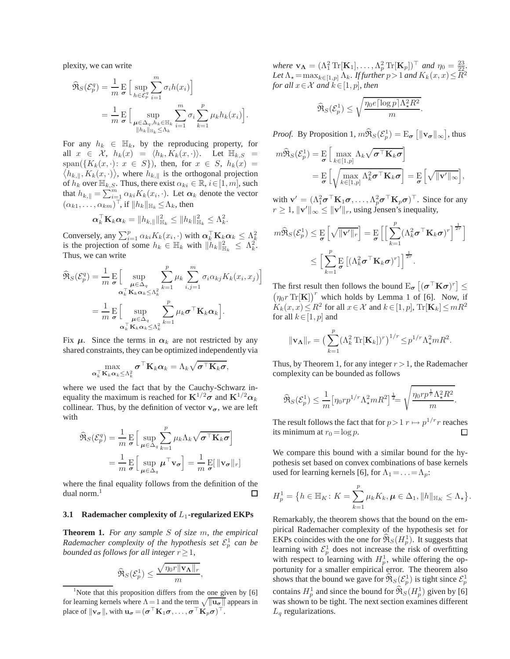plexity, we can write

$$
\widehat{\mathfrak{R}}_{S}(\mathcal{E}_{p}^{q}) = \frac{1}{m} \mathop{\mathbb{E}}_{\sigma} \Big[ \sup_{h \in \mathcal{E}_{p}^{q}} \sum_{i=1}^{m} \sigma_{i} h(x_{i}) \Big] \n= \frac{1}{m} \mathop{\mathbb{E}}_{\sigma} \Big[ \sup_{\substack{\mu \in \Delta_{q}, h_{k} \in \mathbb{H}_{k} \\ \|h_{k}\|_{\mathbb{H}_{k}} \leq \Lambda_{k}}} \sum_{i=1}^{m} \sigma_{i} \sum_{k=1}^{p} \mu_{k} h_{k}(x_{i}) \Big].
$$

For any  $h_k \in \mathbb{H}_k$ , by the reproducing property, for all  $x \in \mathcal{X}$ ,  $h_k(x) = \langle h_k, K_k(x, \cdot) \rangle$ . Let  $\mathbb{H}_{k, S}$  =  $\langle h_{k,\parallel}, K_k(x, \cdot) \rangle$ , where  $h_{k,\parallel}$  is the orthogonal projection  $span({K_k(x, \cdot): x \in S}),$  then, for  $x \in S$ ,  $h_k(x) =$ of  $h_k$  over  $\mathbb{H}_{k,S}$ . Thus, there exist  $\alpha_{ki} \in \mathbb{R}, i \in [1, m]$ , such that  $h_{k, \parallel} = \sum_{i=1}^{m} \alpha_{ki} K_k(x_i, \cdot)$ . Let  $\alpha_k$  denote the vector  $(\alpha_{k1}, \ldots, \alpha_{km})^{\top}$ , if  $||h_k||_{\mathbb{H}_k} \leq \Lambda_k$ , then

$$
\boldsymbol{\alpha}_k^{\top} \mathbf{K}_k \boldsymbol{\alpha}_k = \|h_{k,\parallel}\|_{\mathbb{H}_k}^2 \leq \|h_k\|_{\mathbb{H}_k}^2 \leq \Lambda_k^2.
$$

Conversely, any  $\sum_{i=1}^{p} \alpha_{ki} K_k(x_i, \cdot)$  with  $\alpha_k^{\top} \mathbf{K}_k \alpha_k \leq \Lambda_k^2$ is the projection of some  $h_k \in \mathbb{H}_k$  with  $\|\tilde{h}_k\|_{\mathbb{H}_k}^2 \leq \Lambda_k^2$ . Thus, we can write

$$
\widehat{\mathfrak{R}}_{S}(\mathcal{E}_{p}^{q}) = \frac{1}{m} \mathop{\mathbb{E}}_{\substack{\sigma \\ \boldsymbol{\alpha}_{k}^{\top} \mathbf{K}_{k} \boldsymbol{\alpha}_{k} \leq \Lambda_{k}^{2}}} \sum_{k=1}^{p} \mu_{k} \sum_{i,j=1}^{m} \sigma_{i} \alpha_{kj} K_{k}(x_{i}, x_{j}) \bigg] \n= \frac{1}{m} \mathop{\mathbb{E}}_{\substack{\sigma \\ \boldsymbol{\alpha}_{k}^{\top} \mathbf{K}_{k} \boldsymbol{\alpha}_{k} \leq \Lambda_{k}^{2}}} \sum_{k=1}^{p} \mu_{k} \sigma^{\top} \mathbf{K}_{k} \boldsymbol{\alpha}_{k} \bigg].
$$

Fix  $\mu$ . Since the terms in  $\alpha_k$  are not restricted by any shared constraints, they can be optimized independently via

$$
\max_{\mathbf{\alpha}_k^{\top} \mathbf{K}_k \mathbf{\alpha}_k \leq \Lambda_k^2} \boldsymbol{\sigma}^{\top} \mathbf{K}_k \mathbf{\alpha}_k = \Lambda_k \sqrt{\boldsymbol{\sigma}^{\top} \mathbf{K}_k \boldsymbol{\sigma}},
$$

where we used the fact that by the Cauchy-Schwarz inequality the maximum is reached for  $\mathbf{K}^{1/2} \sigma$  and  $\mathbf{K}^{1/2} \alpha_k$ collinear. Thus, by the definition of vector  $v_{\sigma}$ , we are left with

$$
\widehat{\mathfrak{R}}_{S}(\mathcal{E}_{p}^{q}) = \frac{1}{m} \mathop{\mathbb{E}}_{\sigma} \Big[ \sup_{\mu \in \Delta_{q}} \sum_{k=1}^{p} \mu_{k} \Lambda_{k} \sqrt{\sigma^{\top} \mathbf{K}_{k} \sigma} \Big]
$$
\n
$$
= \frac{1}{m} \mathop{\mathbb{E}}_{\sigma} \Big[ \sup_{\mu \in \Delta_{q}} \mu^{\top} \mathbf{v}_{\sigma} \Big] = \frac{1}{m} \mathop{\mathbb{E}}_{\sigma} [\|\mathbf{v}_{\sigma}\|_{r}]
$$

where the final equality follows from the definition of the dual norm. $<sup>1</sup>$ </sup> □

#### **3.1 Rademacher complexity of L<sub>1</sub>-regularized EKPs**

**Theorem 1.** *For any sample* S *of size* m*, the empirical Rademacher complexity of the hypothesis set*  $\mathcal{E}_p^1$  *can be bounded as follows for all integer*  $r \geq 1$ *,* 

$$
\widehat{\Re}_S(\mathcal{E}_{p}^1) \leq \frac{\sqrt{\eta_0 r \|\mathbf{v}_{\mathbf{\Lambda}}\|_r}}{m},
$$

*where*  $\mathbf{v}_{\mathbf{\Lambda}} = (\Lambda_1^2 \operatorname{Tr}[\mathbf{K}_1], \dots, \Lambda_p^2 \operatorname{Tr}[\mathbf{K}_p])^{\top}$  *and*  $\eta_0 = \frac{23}{22}$ . Let  $\Lambda_{\star} = \max_{k \in [1,p]} \Lambda_k$ *. If further*  $p > 1$  *and*  $K_k(x, x) \leq R^2$ *for all*  $x \in \mathcal{X}$  *and*  $k \in [1, p]$ *, then* 

$$
\widehat{\Re}_S(\mathcal{E}_p^1) \le \sqrt{\frac{\eta_0 e \lceil \log p \rceil \Lambda_\star^2 R^2}{m}}.
$$

*Proof.* By Proposition 1,  $m\widehat{\mathfrak{R}}_S(\mathcal{E}_p^1) = \mathrm{E}_{\sigma}\left[\|\mathbf{v}_{\sigma}\|_{\infty}\right]$ , thus

$$
m\widehat{\mathfrak{R}}_{S}(\mathcal{E}_{p}^{1}) = \underset{\sigma}{\mathrm{E}} \left[ \max_{k \in [1,p]} \Lambda_{k} \sqrt{\sigma^{\top} \mathbf{K}_{k} \sigma} \right]
$$
  
= 
$$
\underset{\sigma}{\mathrm{E}} \left[ \sqrt{\max_{k \in [1,p]} \Lambda_{k}^{2} \sigma^{\top} \mathbf{K}_{k} \sigma} \right] = \underset{\sigma}{\mathrm{E}} \left[ \sqrt{\|\mathbf{v}'\|_{\infty}} \right],
$$

with  $\mathbf{v}' = (\Lambda_1^2 \boldsymbol{\sigma}^\top \mathbf{K}_1 \boldsymbol{\sigma}, \dots, \Lambda_p^2 \boldsymbol{\sigma}^\top \mathbf{K}_p \boldsymbol{\sigma})^\top$ . Since for any  $r \geq 1$ ,  $\|\mathbf{v}'\|_{\infty} \leq \|\mathbf{v}'\|_{r}$ , using Jensen's inequality,

$$
m\widehat{\mathfrak{R}}_{S}(\mathcal{E}_{p}^{1}) \leq \frac{\mathrm{E}}{\sigma} \left[ \sqrt{\|\mathbf{v}'\|_{r}} \right] = \frac{\mathrm{E}}{\sigma} \left[ \left[ \sum_{k=1}^{p} (\Lambda_{k}^{2} \boldsymbol{\sigma}^{\top} \mathbf{K}_{k} \boldsymbol{\sigma})^{r} \right]^{\frac{1}{2r}} \right]
$$

$$
\leq \left[ \sum_{k=1}^{p} \mathrm{E} \left[ (\Lambda_{k}^{2} \boldsymbol{\sigma}^{\top} \mathbf{K}_{k} \boldsymbol{\sigma})^{r} \right] \right]^{\frac{1}{2r}}.
$$

The first result then follows the bound  $E_{\sigma}$   $[(\sigma^{\top} K \sigma)^r] \leq$  $(\eta_0 r \text{Tr}[\mathbf{K}])^r$  which holds by Lemma 1 of [6]. Now, if  $K_k(x, x) \le R^2$  for all  $x \in \mathcal{X}$  and  $k \in [1, p]$ ,  $\text{Tr}[\mathbf{K}_k] \le mR^2$ for all  $k \in [1, p]$  and

$$
\|\mathbf{v}_{\mathbf{\Lambda}}\|_{r} = \left(\sum_{k=1}^{p} (\Lambda_k^2 \operatorname{Tr}[\mathbf{K}_k])^r\right)^{1/r} \leq p^{1/r} \Lambda_{\star}^2 m R^2.
$$

Thus, by Theorem 1, for any integer  $r > 1$ , the Rademacher complexity can be bounded as follows

$$
\widehat{\Re}_S(\mathcal{E}_{p}^1) \leq \frac{1}{m}\big[\eta_0 r p^{1/r} \Lambda_\star^2 m R^2\big]^{\frac{1}{2}} = \sqrt{\frac{\eta_0 r p^{\frac{1}{r}} \Lambda_\star^2 R^2}{m}}.
$$

The result follows the fact that for  $p > 1$   $r \mapsto p^{1/r}r$  reaches its minimum at  $r_0 = \log p$ . □

We compare this bound with a similar bound for the hypothesis set based on convex combinations of base kernels used for learning kernels [6], for  $\Lambda_1 = \ldots = \Lambda_p$ :

$$
H_p^1 = \{ h \in \mathbb{H}_K : K = \sum_{k=1}^p \mu_k K_k, \mu \in \Delta_1, ||h||_{\mathbb{H}_K} \le \Lambda_{\star} \}.
$$

Remarkably, the theorem shows that the bound on the empirical Rademacher complexity of the hypothesis set for EKPs coincides with the one for  $\widehat{\mathfrak{R}}_S(H_p^1)$ . It suggests that learning with  $\mathcal{E}_p^1$  does not increase the risk of overfitting with respect to learning with  $H_p^1$ , while offering the opportunity for a smaller empirical error. The theorem also shows that the bound we gave for  $\widehat{\mathfrak{R}}_{S}(\mathcal{E}_{p}^{1})$  is tight since  $\mathcal{E}_{p}^{1}$ contains  $H_p^1$  and since the bound for  $\widehat{\mathfrak{R}}_S(H_p^1)$  given by [6] was shown to be tight. The next section examines different  $L_q$  regularizations.

<sup>&</sup>lt;sup>1</sup>Note that this proposition differs from the one given by  $[6]$ for learning kernels where  $\Lambda = 1$  and the term  $\sqrt{\|\mathbf{u}_{\sigma}\|}$  appears in place of  $\|\mathbf{v}_{\sigma}\|$ , with  $\mathbf{u}_{\sigma} = (\sigma^{\top}\mathbf{K}_1\sigma, \dots, \sigma^{\top}\mathbf{K}_p\sigma)^{\top}$ .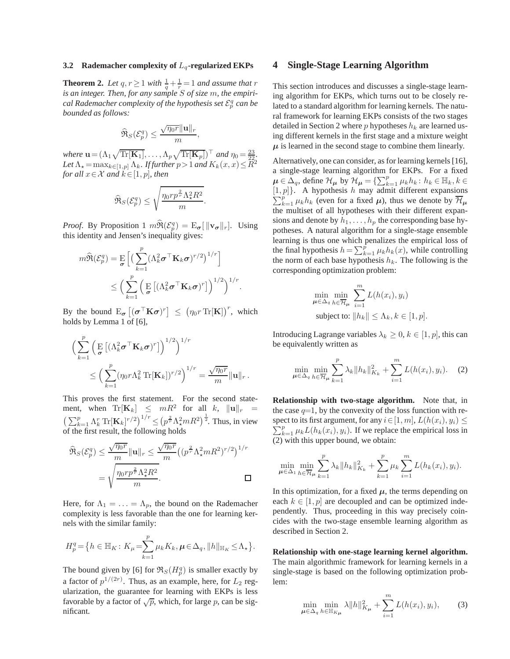#### **3.2** Rademacher complexity of  $L_q$ -regularized EKPs

**Theorem 2.** Let  $q, r \geq 1$  with  $\frac{1}{q} + \frac{1}{r} = 1$  and assume that  $r$ *is an integer. Then, for any sample* S *of size* m*, the empiri*cal Rademacher complexity of the hypothesis set  $\mathcal{E}_p^q$  can be *bounded as follows:*

$$
\widehat{\Re}_S(\mathcal{E}_p^q) \le \frac{\sqrt{\eta_0 r} \|\mathbf{u}\|_r}{m},
$$

*where*  $\mathbf{u} = (\Lambda_1 \sqrt{\text{Tr}[\mathbf{K}_1]}, \dots, \Lambda_p \sqrt{\text{Tr}[\mathbf{K}_p]})^{\top}$  *and*  $\eta_0 = \frac{23}{22}$ . Let  $\Lambda_{\star} = \max_{k \in [1,p]} \Lambda_k$ *. If further*  $p > 1$  *and*  $K_k(x, x) \leq R^2$ *for all*  $x \in \mathcal{X}$  *and*  $k \in [1, p]$ *, then* 

$$
\widehat{\Re}_S(\mathcal{E}_p^q) \leq \sqrt{\frac{\eta_0 r p^{\frac{2}{r}} \Lambda_{\star}^2 R^2}{m}}.
$$

*Proof.* By Proposition 1  $m\widehat{\mathfrak{R}}(\mathcal{E}_p^q) = \mathbb{E}_{\sigma}[\|\mathbf{v}_{\sigma}\|_r]$ . Using this identity and Jensen's inequality gives:

$$
m\widehat{\mathfrak{R}}(\mathcal{E}_p^q) = \underset{\sigma}{\mathrm{E}} \left[ \left( \sum_{k=1}^p (\Lambda_k^2 \sigma^{\top} \mathbf{K}_k \sigma)^{r/2} \right)^{1/r} \right] \le \left( \sum_{k=1}^p \left( \underset{\sigma}{\mathrm{E}} \left[ (\Lambda_k^2 \sigma^{\top} \mathbf{K}_k \sigma)^{r} \right] \right)^{1/2} \right)^{1/r}.
$$

By the bound  $E_{\boldsymbol{\sigma}}\left[(\boldsymbol{\sigma}^\top \mathbf{K} \boldsymbol{\sigma})^r\right] \leq (\eta_0 r \operatorname{Tr}[\mathbf{K}])^r$ , which holds by Lemma 1 of [6],

$$
\left(\sum_{k=1}^p \left(\mathbf{E}\left[ (\Lambda_k^2 \boldsymbol{\sigma}^\top \mathbf{K}_k \boldsymbol{\sigma})^r \right] \right)^{1/2}\right)^{1/r}
$$
  

$$
\leq \left(\sum_{k=1}^p (\eta_0 r \Lambda_k^2 \operatorname{Tr}[\mathbf{K}_k])^{r/2}\right)^{1/r} = \frac{\sqrt{\eta_0 r}}{m} ||\mathbf{u}||_r.
$$

This proves the first statement. For the second statement, when  $\text{Tr}[\mathbf{K}_k] \leq mR^2$  for all k,  $\|\mathbf{u}\|_r =$  $\left(\sum_{k=1}^p \Lambda_k^r \text{Tr}[\mathbf{K}_k]^{r/2}\right)^{1/r} \leq \left(p^{\frac{2}{r}} \Lambda_{\star}^2 m R^2\right)^{\frac{1}{2}}$ . Thus, in view of the first result, the following holds

$$
\widehat{\mathfrak{R}}_{S}(\mathcal{E}_{p}^{q}) \leq \frac{\sqrt{\eta_{0}r}}{m} ||\mathbf{u}||_{r} \leq \frac{\sqrt{\eta_{0}r}}{m} \left( \left( p^{\frac{2}{r}} \Lambda_{\star}^{2} m R^{2} \right)^{r/2} \right)^{1/r}
$$

$$
= \sqrt{\frac{\eta_{0} r p^{\frac{2}{r}} \Lambda_{\star}^{2} R^{2}}{m}}.
$$

Here, for  $\Lambda_1 = \ldots = \Lambda_p$ , the bound on the Rademacher complexity is less favorable than the one for learning kernels with the similar family:

$$
H_p^q = \left\{ h \in \mathbb{H}_K \colon K_\mu = \sum_{k=1}^p \mu_k K_k, \mu \in \Delta_q, ||h||_{\mathbb{H}_K} \le \Lambda_\star \right\}.
$$

The bound given by [6] for  $\Re_S(H_p^q)$  is smaller exactly by a factor of  $p^{1/(2r)}$ . Thus, as an example, here, for  $L_2$  regularization, the guarantee for learning with EKPs is less favorable by a factor of  $\sqrt{p}$ , which, for large p, can be significant.

### **4 Single-Stage Learning Algorithm**

This section introduces and discusses a single-stage learning algorithm for EKPs, which turns out to be closely related to a standard algorithm for learning kernels. The natural framework for learning EKPs consists of the two stages detailed in Section 2 where p hypotheses  $h_k$  are learned using different kernels in the first stage and a mixture weight  $\mu$  is learned in the second stage to combine them linearly.

Alternatively, one can consider, as for learning kernels [16], a single-stage learning algorithm for EKPs. For a fixed  $\mu \in \Delta_q$ , define  $\mathcal{H}_{\mu}$  by  $\mathcal{H}_{\mu} = \{\sum_{k=1}^p \mu_k h_k : h_k \in \mathbb{H}_k, k \in \mathbb{R} \}$  $[1, p]$ . A hypothesis h may admit different expansions  $\sum_{k=1}^{p} \mu_k h_k$  (even for a fixed  $\mu$ ), thus we denote by  $\overline{\mathcal{H}}_{\mu}$ the multiset of all hypotheses with their different expansions and denote by  $h_1, \ldots, h_p$  the corresponding base hypotheses. A natural algorithm for a single-stage ensemble learning is thus one which penalizes the empirical loss of the final hypothesis  $h = \sum_{k=1}^{p} \mu_k h_k(x)$ , while controlling the norm of each base hypothesis  $h_k$ . The following is the corresponding optimization problem:

$$
\min_{\mu \in \Delta_q} \min_{h \in \overline{\mathcal{H}}_{\mu}} \sum_{i=1}^m L(h(x_i), y_i)
$$
  
subject to:  $||h_k|| \leq \Lambda_k, k \in [1, p].$ 

Introducing Lagrange variables  $\lambda_k \geq 0, k \in [1, p]$ , this can be equivalently written as

$$
\min_{\mu \in \Delta_q} \min_{h \in \overline{\mathcal{H}}_{\mu}} \sum_{k=1}^p \lambda_k \|h_k\|_{K_k}^2 + \sum_{i=1}^m L(h(x_i), y_i). \tag{2}
$$

**Relationship with two-stage algorithm.** Note that, in the case  $q=1$ , by the convexity of the loss function with re- $\sum_{k=1}^{p} \mu_k L(h_k(x_i), y_i)$ . If we replace the empirical loss in spect to its first argument, for any  $i \in [1, m]$ ,  $L(h(x_i), y_i) \leq$ (2) with this upper bound, we obtain:

$$
\min_{\mu \in \Delta_1} \min_{h \in \overline{\mathcal{H}}_{\mu}} \sum_{k=1}^p \lambda_k \|h_k\|_{K_k}^2 + \sum_{k=1}^p \mu_k \sum_{i=1}^m L(h_k(x_i), y_i).
$$

In this optimization, for a fixed  $\mu$ , the terms depending on each  $k \in [1, p]$  are decoupled and can be optimized independently. Thus, proceeding in this way precisely coincides with the two-stage ensemble learning algorithm as described in Section 2.

**Relationship with one-stage learning kernel algorithm.** The main algorithmic framework for learning kernels in a single-stage is based on the following optimization problem:

$$
\min_{\mu \in \Delta_q} \min_{h \in \mathbb{H}_{K_\mu}} \lambda \|h\|_{K_\mu}^2 + \sum_{i=1}^m L(h(x_i), y_i), \quad (3)
$$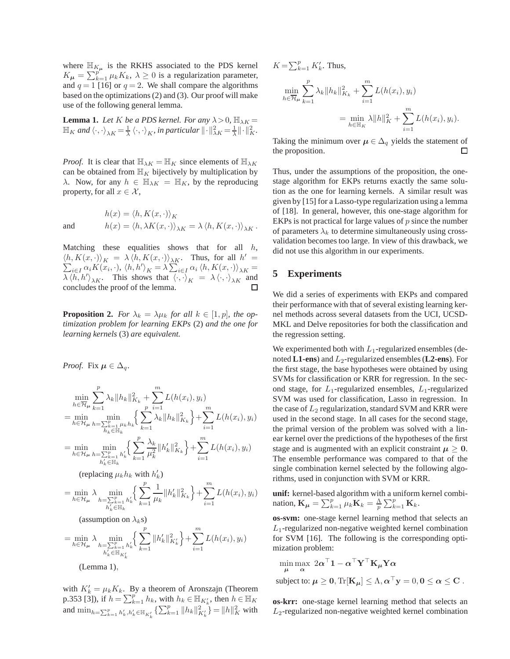where  $\mathbb{H}_{K_{\mu}}$  is the RKHS associated to the PDS kernel  $K_{\mu} = \sum_{k=1}^{p^{\mu}} \mu_k K_k, \ \lambda \geq 0$  is a regularization parameter, and  $q = 1$  [16] or  $q = 2$ . We shall compare the algorithms based on the optimizations (2) and (3). Our proof will make use of the following general lemma.

**Lemma 1.** *Let* K *be a PDS kernel. For any*  $\lambda > 0$ ,  $\mathbb{H}_{\lambda K} =$  $\mathbb{H}_K$  and  $\langle \cdot, \cdot \rangle_{\lambda K} = \frac{1}{\lambda} \langle \cdot, \cdot \rangle_K$ , in particular  $\|\cdot\|^2_{\lambda K} = \frac{1}{\lambda} \|\cdot\|^2_K$ .

*Proof.* It is clear that  $\mathbb{H}_{\lambda K} = \mathbb{H}_K$  since elements of  $\mathbb{H}_{\lambda K}$ can be obtained from  $\mathbb{H}_K$  bijectively by multiplication by  $\lambda$ . Now, for any  $h \in \mathbb{H}_{\lambda K} = \mathbb{H}_K$ , by the reproducing property, for all  $x \in \mathcal{X}$ ,

$$
h(x) = \langle h, K(x, \cdot) \rangle_K
$$
  
and 
$$
h(x) = \langle h, \lambda K(x, \cdot) \rangle_{\lambda K} = \lambda \langle h, K(x, \cdot) \rangle_{\lambda K}.
$$

Matching these equalities shows that for all  $h$ ,  $\langle h, K(x, \cdot) \rangle_K = \lambda \langle h, K(x, \cdot) \rangle_{\lambda K}$ . Thus, for all h<br>  $\sum_{i \in I} \alpha_i K(x_i, \cdot), \langle h, h' \rangle_K = \lambda \sum_{i \in I} \alpha_i \langle h, K(x, \cdot) \rangle_{\lambda K}$  $' =$  $\sum_{i\in I}\alpha_i K(\vec{x}_i,\cdot),\ \langle h,h'\rangle_K=\lambda\sum_{i\in I}\alpha_i\ \langle h,K(x,\cdot)\rangle_{\lambda K}=$  $\lambda \langle \overline{h}, h' \rangle_{\lambda K}$ . This shows that  $\langle \cdot, \cdot \rangle_{K} = \lambda \langle \cdot, \cdot \rangle_{\lambda K}$  and concludes the proof of the lemma.

**Proposition 2.** *For*  $\lambda_k = \lambda \mu_k$  *for all*  $k \in [1, p]$ *, the optimization problem for learning EKPs* (2) *and the one for learning kernels* (3) *are equivalent.*

*Proof.* Fix  $\mu \in \Delta_q$ .

$$
\min_{h \in \mathcal{H}_{\mu}} \sum_{k=1}^{p} \lambda_k \|h_k\|_{K_k}^2 + \sum_{i=1}^{m} L(h(x_i), y_i)
$$
\n
$$
= \min_{h \in \mathcal{H}_{\mu}} \min_{h \in \mathbb{H}_k} \left\{ \sum_{k=1}^{p} \lambda_k \|h_k\|_{K_k}^2 \right\} + \sum_{i=1}^{m} L(h(x_i), y_i)
$$
\n
$$
= \min_{h \in \mathcal{H}_{\mu}} \min_{h \in \mathbb{H}_k} \left\{ \sum_{k=1}^{p} \frac{\lambda_k}{\mu_k^2} \|h_k'\|_{K_k}^2 \right\} + \sum_{i=1}^{m} L(h(x_i), y_i)
$$
\n
$$
h_k' \in \mathbb{H}_k
$$

(replacing  $\mu_k h_k$  with  $h'_k$ )

$$
= \min_{h \in \mathcal{H}_{\mu}} \lambda \min_{\substack{h = \sum_{k=1}^p h'_k \\ h'_k \in \mathbb{H}_k}} \left\{ \sum_{k=1}^p \frac{1}{\mu_k} \|h'_k\|_{K_k}^2 \right\} + \sum_{i=1}^m L(h(x_i), y_i)
$$

(assumption on  $\lambda_k$ s)

$$
= \min_{h \in \mathcal{H}_{\mu}} \lambda \min_{\substack{h = \sum_{k=1}^p h'_k \\ h'_k \in \mathbb{H}_{K'_k}}} \left\{ \sum_{k=1}^p \|h'_k\|_{K'_k}^2 \right\} + \sum_{i=1}^m L(h(x_i), y_i)
$$

(Lemma 1),

with  $K'_k = \mu_k K_k$ . By a theorem of Aronszajn (Theorem p.353 [3]), if  $h = \sum_{k=1}^{p} h_k$ , with  $h_k \in \mathbb{H}_{K'_k}$ , then  $h \in \mathbb{H}_K$ and  $\min_{h=\sum_{k=1}^p h'_k, h'_k \in \mathbb{H}_{K'_k}} \{\sum_{k=1}^p ||h_k||^2_{K'_k}\} = ||h||^2_K$  with  $K = \sum_{k=1}^{p} K'_{k}$ . Thus, min  $h \in H_{\boldsymbol{\mu}}$  $\sum_{ }^{p}$  $k=1$  $\lambda_k \|h_k\|_{K_k}^2 + \sum^m$  $i=1$  $L(h(x_i), y_i)$ 

$$
= \min_{h \in \mathbb{H}_K} \lambda \|h\|_K^2 + \sum_{i=1}^m L(h(x_i), y_i).
$$

Taking the minimum over  $\mu \in \Delta_q$  yields the statement of the proposition. the proposition.

Thus, under the assumptions of the proposition, the onestage algorithm for EKPs returns exactly the same solution as the one for learning kernels. A similar result was given by [15] for a Lasso-type regularization using a lemma of [18]. In general, however, this one-stage algorithm for EKPs is not practical for large values of  $p$  since the number of parameters  $\lambda_k$  to determine simultaneously using crossvalidation becomes too large. In view of this drawback, we did not use this algorithm in our experiments.

# **5 Experiments**

We did a series of experiments with EKPs and compared their performance with that of several existing learning kernel methods across several datasets from the UCI, UCSD-MKL and Delve repositories for both the classification and the regression setting.

We experimented both with  $L_1$ -regularized ensembles (denoted **L1-ens**) and  $L_2$ -regularized ensembles (**L2-ens**). For the first stage, the base hypotheses were obtained by using SVMs for classification or KRR for regression. In the second stage, for  $L_1$ -regularized ensembles,  $L_1$ -regularized SVM was used for classification, Lasso in regression. In the case of  $L_2$  regularization, standard SVM and KRR were used in the second stage. In all cases for the second stage, the primal version of the problem was solved with a linear kernel over the predictions of the hypotheses of the first stage and is augmented with an explicit constraint  $\mu \geq 0$ . The ensemble performance was compared to that of the single combination kernel selected by the following algorithms, used in conjunction with SVM or KRR.

**unif:** kernel-based algorithm with a uniform kernel combination,  $\mathbf{K}_{\mu} = \sum_{k=1}^{p} \mu_k \mathbf{K}_k = \frac{\Lambda}{p} \sum_{k=1}^{p} \mathbf{K}_k$ .

**os-svm:** one-stage kernel learning method that selects an  $L_1$ -regularized non-negative weighted kernel combination for SVM [16]. The following is the corresponding optimization problem:

$$
\min_{\mu} \max_{\alpha} 2\alpha^{\top} \mathbf{1} - \alpha^{\top} \mathbf{Y}^{\top} \mathbf{K}_{\mu} \mathbf{Y} \alpha
$$
\nsubject to: 
$$
\mu \geq 0, \text{Tr}[\mathbf{K}_{\mu}] \leq \Lambda, \alpha^{\top} \mathbf{y} = 0, 0 \leq \alpha \leq \mathbf{C}.
$$

**os-krr:** one-stage kernel learning method that selects an  $L_2$ -regularized non-negative weighted kernel combination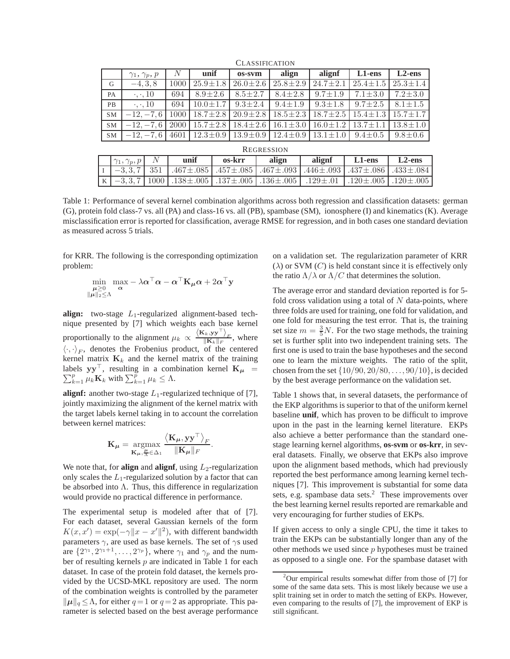|                   | $\gamma_1, \gamma_p, p$ | N    | unif           | os-sym         | align          | alignf         | L1-ens         | $L2$ -ens      |  |  |  |
|-------------------|-------------------------|------|----------------|----------------|----------------|----------------|----------------|----------------|--|--|--|
| G                 | $-4, 3, 8$              | 1000 | $25.9 \pm 1.8$ | $26.0 \pm 2.6$ | $25.8 \pm 2.9$ | $24.7 \pm 2.1$ | $25.4 \pm 1.5$ | $25.3 \pm 1.4$ |  |  |  |
| PA                | $\cdot, \cdot, 10$      | 694  | $8.9 \pm 2.6$  | $8.5 \pm 2.7$  | $8.4 \pm 2.8$  | $9.7 \pm 1.9$  | $7.1 \pm 3.0$  | $7.2 \pm 3.0$  |  |  |  |
| PB                | $\cdot$ , $\cdot$ , 10  | 694  | $10.0 \pm 1.7$ | $9.3 + 2.4$    | $9.4 + 1.9$    | $9.3 \pm 1.8$  | $9.7 + 2.5$    | $8.1 \pm 1.5$  |  |  |  |
| <b>SM</b>         | $-12, -7, 6$            | 1000 | $18.7 \pm 2.8$ | $20.9 \pm 2.8$ | $18.5 \pm 2.3$ | $18.7 \pm 2.5$ | $15.4 \pm 1.3$ | $15.7 \pm 1.7$ |  |  |  |
| <b>SM</b>         | $-12, -7, 6$            | 2000 | $15.7 + 2.8$   | $18.4 \pm 2.6$ | $16.1 \pm 3.0$ | $16.0 \pm 1.2$ | $13.7 \pm 1.1$ | $13.8 \pm 1.0$ |  |  |  |
| <b>SM</b>         | $-12, -7, 6$            | 4601 | $12.3 \pm 0.9$ | $13.9 \pm 0.9$ | $12.4 \pm 0.9$ | $13.1 \pm 1.0$ | $9.4 \pm 0.5$  | $9.8 \pm 0.6$  |  |  |  |
| <b>REGRESSION</b> |                         |      |                |                |                |                |                |                |  |  |  |

CLASSIFICATION

| <b>REGRESSION</b> |                         |      |                                                                                                                |                                                                                                           |       |        |           |           |  |  |  |  |
|-------------------|-------------------------|------|----------------------------------------------------------------------------------------------------------------|-----------------------------------------------------------------------------------------------------------|-------|--------|-----------|-----------|--|--|--|--|
|                   | $\gamma_1, \gamma_p, p$ |      | unif                                                                                                           | os-krr                                                                                                    | align | alignf | $L1$ -ens | $L2$ -ens |  |  |  |  |
|                   | $-3, 3, 7$              | 1351 |                                                                                                                | $.467 \pm .085$   $.457 \pm .085$   $.467 \pm .093$   $.446 \pm .093$   $.437 \pm .086$   $.433 \pm .084$ |       |        |           |           |  |  |  |  |
| K                 |                         |      | $-3,3,7$   1000   $.138\pm.005$   $.137\pm.005$   $.136\pm.005$   $.129\pm.01$   $.120\pm.005$   $.120\pm.005$ |                                                                                                           |       |        |           |           |  |  |  |  |

Table 1: Performance of several kernel combination algorithms across both regression and classification datasets: german (G), protein fold class-7 vs. all (PA) and class-16 vs. all (PB), spambase (SM), ionosphere (I) and kinematics (K). Average misclassification error is reported for classification, average RMSE for regression, and in both cases one standard deviation as measured across 5 trials.

for KRR. The following is the corresponding optimization problem:

$$
\min_{\substack{\boldsymbol{\mu} \geq 0 \\ \|\boldsymbol{\mu}\|_2 \leq \Lambda}} \max_{\boldsymbol{\alpha}} - \lambda \boldsymbol{\alpha}^{\top} \boldsymbol{\alpha} - \boldsymbol{\alpha}^{\top} \mathbf{K}_{\boldsymbol{\mu}} \boldsymbol{\alpha} + 2 \boldsymbol{\alpha}^{\top} \mathbf{y}
$$

**align:** two-stage  $L_1$ -regularized alignment-based technique presented by [7] which weights each base kernel proportionally to the alignment  $\mu_k \propto \frac{\langle \mathbf{K}_k, \mathbf{y} \mathbf{y}^\top \rangle_F}{\|\mathbf{K}_k\|_F}$ , where  $\langle \cdot, \cdot \rangle_F$ , denotes the Frobenius product, of the centered kernel matrix  $\mathbf{K}_k$  and the kernel matrix of the training labels  $yy^{\top}$  $\sum$ bels yy<sup> $\vert$ </sup>, resulting in a combination kernel  $\mathbf{K}_{\mu} =$ <br> $\frac{p}{k=1} \mu_k \mathbf{K}_k$  with  $\sum_{k=1}^{p} \mu_k \leq \Lambda$ .

**alignf:** another two-stage  $L_1$ -regularized technique of [7], jointly maximizing the alignment of the kernel matrix with the target labels kernel taking in to account the correlation between kernel matrices:

$$
\mathbf{K}_{\boldsymbol{\mu}} = \underset{\mathbf{K}_{\boldsymbol{\mu}}, \frac{\boldsymbol{\mu}}{\boldsymbol{\mu}} \in \Delta_1}{\operatorname{argmax}} \frac{\left\langle \mathbf{K}_{\boldsymbol{\mu}}, \mathbf{y} \mathbf{y}^{\top} \right\rangle_F}{\|\mathbf{K}_{\boldsymbol{\mu}}\|_F}.
$$

We note that, for **align** and **alignf**, using  $L_2$ -regularization only scales the  $L_1$ -regularized solution by a factor that can be absorbed into  $\Lambda$ . Thus, this difference in regularization would provide no practical difference in performance.

The experimental setup is modeled after that of [7]. For each dataset, several Gaussian kernels of the form  $K(x, x') = \exp(-\gamma ||x - x'||^2)$ , with different bandwidth parameters  $\gamma$ , are used as base kernels. The set of  $\gamma s$  used are  $\{2^{\gamma_1}, 2^{\gamma_1+1}, \ldots, 2^{\gamma_p}\}$ , where  $\gamma_1$  and  $\gamma_p$  and the number of resulting kernels  $p$  are indicated in Table 1 for each dataset. In case of the protein fold dataset, the kernels provided by the UCSD-MKL repository are used. The norm of the combination weights is controlled by the parameter  $\|\mu\|_q \leq \Lambda$ , for either  $q = 1$  or  $q = 2$  as appropriate. This parameter is selected based on the best average performance on a validation set. The regularization parameter of KRR  $(\lambda)$  or SVM  $(C)$  is held constant since it is effectively only the ratio  $\Lambda/\lambda$  or  $\Lambda/C$  that determines the solution.

The average error and standard deviation reported is for 5 fold cross validation using a total of  $N$  data-points, where three folds are used for training, one fold for validation, and one fold for measuring the test error. That is, the training set size  $m = \frac{3}{5}N$ . For the two stage methods, the training set is further split into two independent training sets. The first one is used to train the base hypotheses and the second one to learn the mixture weights. The ratio of the split, chosen from the set  $\{10/90, 20/80, \ldots, 90/10\}$ , is decided by the best average performance on the validation set.

Table 1 shows that, in several datasets, the performance of the EKP algorithms is superior to that of the uniform kernel baseline **unif**, which has proven to be difficult to improve upon in the past in the learning kernel literature. EKPs also achieve a better performance than the standard onestage learning kernel algorithms, **os-svm** or **os-krr**, in several datasets. Finally, we observe that EKPs also improve upon the alignment based methods, which had previously reported the best performance among learning kernel techniques [7]. This improvement is substantial for some data sets, e.g. spambase data sets.<sup>2</sup> These improvements over the best learning kernel results reported are remarkable and very encouraging for further studies of EKPs.

If given access to only a single CPU, the time it takes to train the EKPs can be substantially longer than any of the other methods we used since  $p$  hypotheses must be trained as opposed to a single one. For the spambase dataset with

 $2$ Our empirical results somewhat differ from those of [7] for some of the same data sets. This is most likely because we use a split training set in order to match the setting of EKPs. However, even comparing to the results of [7], the improvement of EKP is still significant.